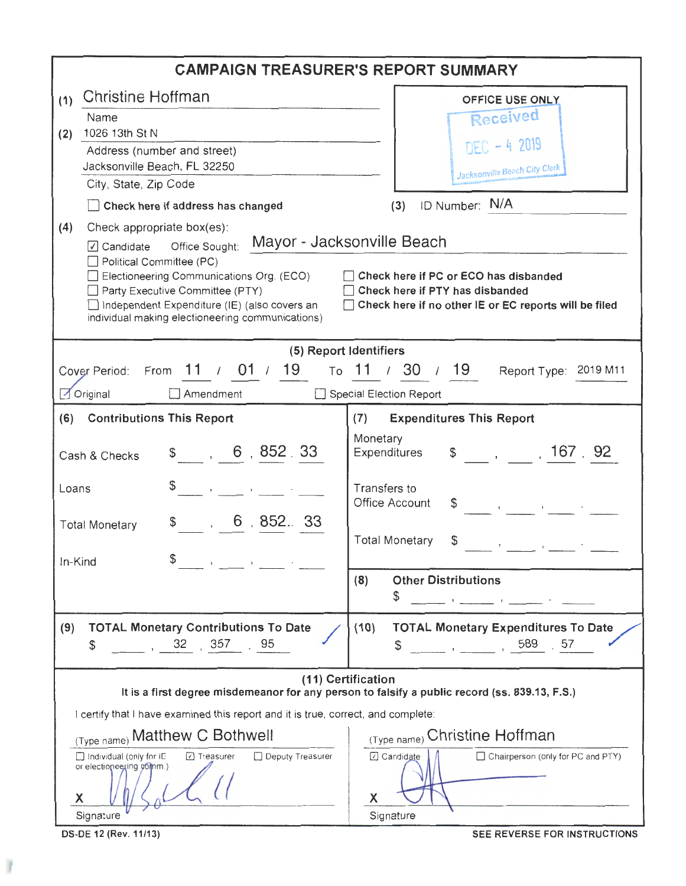|                                                                                                                                                                                                                                                                                                                                                                                                                                                                        | <b>CAMPAIGN TREASURER'S REPORT SUMMARY</b>                                                               |                                                                                                                                  |  |  |  |  |  |  |
|------------------------------------------------------------------------------------------------------------------------------------------------------------------------------------------------------------------------------------------------------------------------------------------------------------------------------------------------------------------------------------------------------------------------------------------------------------------------|----------------------------------------------------------------------------------------------------------|----------------------------------------------------------------------------------------------------------------------------------|--|--|--|--|--|--|
| (1)                                                                                                                                                                                                                                                                                                                                                                                                                                                                    | Christine Hoffman                                                                                        | OFFICE USE ONLY                                                                                                                  |  |  |  |  |  |  |
|                                                                                                                                                                                                                                                                                                                                                                                                                                                                        | Name                                                                                                     | Received                                                                                                                         |  |  |  |  |  |  |
| (2)                                                                                                                                                                                                                                                                                                                                                                                                                                                                    | 1026 13th St N<br>Address (number and street)                                                            | DEC - 4 2019                                                                                                                     |  |  |  |  |  |  |
|                                                                                                                                                                                                                                                                                                                                                                                                                                                                        | Jacksonville Beach, FL 32250                                                                             | Jacksonville Beach City Clerk                                                                                                    |  |  |  |  |  |  |
|                                                                                                                                                                                                                                                                                                                                                                                                                                                                        | City, State, Zip Code                                                                                    |                                                                                                                                  |  |  |  |  |  |  |
|                                                                                                                                                                                                                                                                                                                                                                                                                                                                        | Check here if address has changed                                                                        | ID Number: N/A<br>(3)                                                                                                            |  |  |  |  |  |  |
| Check appropriate box(es):<br>(4)<br>Mayor - Jacksonville Beach<br>Office Sought:<br>$\boxed{\triangle}$ Candidate<br>Political Committee (PC)<br>Electioneering Communications Org. (ECO)<br>Check here if PC or ECO has disbanded<br>Check here if PTY has disbanded<br>Party Executive Committee (PTY)<br>Independent Expenditure (IE) (also covers an<br>Check here if no other IE or EC reports will be filed<br>individual making electioneering communications) |                                                                                                          |                                                                                                                                  |  |  |  |  |  |  |
| (5) Report Identifiers                                                                                                                                                                                                                                                                                                                                                                                                                                                 |                                                                                                          |                                                                                                                                  |  |  |  |  |  |  |
|                                                                                                                                                                                                                                                                                                                                                                                                                                                                        | Cover Period: From $11 / 01 / 19$                                                                        | To 11 / 30 / 19<br>Report Type: 2019 M11                                                                                         |  |  |  |  |  |  |
|                                                                                                                                                                                                                                                                                                                                                                                                                                                                        | $\Box$ Amendment<br>$\sqrt{}$ Original                                                                   | Special Election Report                                                                                                          |  |  |  |  |  |  |
| (6)                                                                                                                                                                                                                                                                                                                                                                                                                                                                    | <b>Contributions This Report</b>                                                                         | <b>Expenditures This Report</b><br>(7)                                                                                           |  |  |  |  |  |  |
|                                                                                                                                                                                                                                                                                                                                                                                                                                                                        | $\frac{1}{2}$ , 6, 852.33<br>Cash & Checks                                                               | Monetary<br>$\frac{1}{2}$ , , , 167 92<br>Expenditures                                                                           |  |  |  |  |  |  |
| Loans                                                                                                                                                                                                                                                                                                                                                                                                                                                                  |                                                                                                          | Transfers to<br>Office Account<br>$\mathbf{B}$ and $\mathbf{B}$ and $\mathbf{B}$ and $\mathbf{B}$                                |  |  |  |  |  |  |
|                                                                                                                                                                                                                                                                                                                                                                                                                                                                        | $\sim$ , 6 , 852. 33<br>\$.<br><b>Total Monetary</b>                                                     | <b>Total Monetary</b><br>\$                                                                                                      |  |  |  |  |  |  |
|                                                                                                                                                                                                                                                                                                                                                                                                                                                                        | In-Kind                                                                                                  |                                                                                                                                  |  |  |  |  |  |  |
|                                                                                                                                                                                                                                                                                                                                                                                                                                                                        |                                                                                                          | <b>Other Distributions</b><br>(8)<br>\$                                                                                          |  |  |  |  |  |  |
| (9)                                                                                                                                                                                                                                                                                                                                                                                                                                                                    | <b>TOTAL Monetary Contributions To Date</b><br>357<br>32<br>95<br>\$                                     | <b>TOTAL Monetary Expenditures To Date</b><br>(10)<br>589<br>57<br>\$<br>$\mathbf{y} = \mathbf{y}$ and $\mathbf{y} = \mathbf{y}$ |  |  |  |  |  |  |
| (11) Certification<br>It is a first degree misdemeanor for any person to falsify a public record (ss. 839.13, F.S.)                                                                                                                                                                                                                                                                                                                                                    |                                                                                                          |                                                                                                                                  |  |  |  |  |  |  |
| I certify that I have examined this report and it is true, correct, and complete:                                                                                                                                                                                                                                                                                                                                                                                      |                                                                                                          |                                                                                                                                  |  |  |  |  |  |  |
|                                                                                                                                                                                                                                                                                                                                                                                                                                                                        | (Type name) Matthew C Bothwell                                                                           | (Type name) Christine Hoffman                                                                                                    |  |  |  |  |  |  |
|                                                                                                                                                                                                                                                                                                                                                                                                                                                                        | Individual (omly for it:<br>□ Treasurer<br>Deputy Treasurer<br>or electoneering comm.)<br>Χ<br>Signature | Candidate<br>□ Chairperson (onlly for PC and PTY)<br>X<br>Sigrature                                                              |  |  |  |  |  |  |

 $\left| \right\rangle$ 

DS-DE 12 (Rev. 11/13) SEE REVERSE FOR INSTRUCTIONS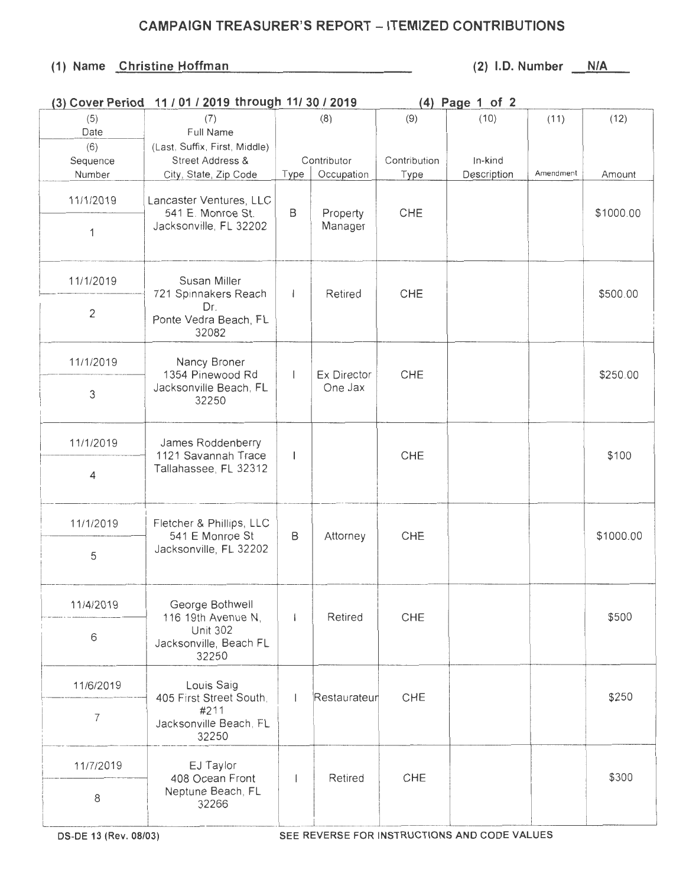## CAMPAIGN TREASURER'S REPORT - ITEMIZED CONTRIBUTIONS

## (1) Name Christine Hoffman (2) I.D. Number N/A

|             | (3) Cover Period 11 / 01 / 2019 through 11/ 30 / 2019                                       |              |                        | $(4)$ Page 1 of 2 |             |           |           |
|-------------|---------------------------------------------------------------------------------------------|--------------|------------------------|-------------------|-------------|-----------|-----------|
| (5)<br>Date | (7)<br>Full Name                                                                            | (8)          |                        | (9)               | (10)        | (11)      | (12)      |
| (6)         | (Last, Suffix, First, Middle)                                                               |              |                        |                   |             |           |           |
| Sequence    | <b>Street Address &amp;</b>                                                                 |              | Contributor            | Contribution      | In-kind     |           |           |
| Number      | City, State, Zip Code                                                                       | Type         | Occupation             | Type              | Description | Amendment | Amount    |
| 11/1/2019   | Lancaster Ventures, LLC<br>541 E. Monroe St.<br>Jacksonville, FL 32202<br>1                 | B            | Property<br>Manager    | CHE               |             |           | \$1000.00 |
|             |                                                                                             |              |                        |                   |             |           |           |
| 11/1/2019   | Susan Miller<br>721 Spinnakers Reach<br>Dr.<br>Ponte Vedra Beach, FL<br>32082               | $\mathbf{I}$ | Retired                | CHE               |             |           | \$500.00  |
| 2           |                                                                                             |              |                        |                   |             |           |           |
| 11/1/2019   | Nancy Broner<br>1354 Pinewood Rd<br>Jacksonville Beach, FL<br>32250                         | $\mathbf{I}$ | Ex Director<br>One Jax | CHE               |             |           | \$250.00  |
| 3           |                                                                                             |              |                        |                   |             |           |           |
| 11/1/2019   | James Roddenberry<br>1121 Savannah Trace<br>Tallahassee, FL 32312                           | $\mathsf{I}$ |                        | CHE               |             |           | \$100     |
| 4           |                                                                                             |              |                        |                   |             |           |           |
| 11/1/2019   | Fletcher & Phillips, LLC<br>541 E Monroe St<br>Jacksonville, FL 32202                       | B            | Attorney               | CHE               |             |           | \$1000.00 |
| 5           |                                                                                             |              |                        |                   |             |           |           |
| 11/4/2019   | George Bothwell<br>116 19th Avenue N,<br><b>Unit 302</b><br>Jacksonville, Beach FL<br>32250 |              | Retired                | CHE               |             |           | \$500     |
| 6           |                                                                                             |              |                        |                   |             |           |           |
| 11/6/2019   | Louis Saig<br>405 First Street South,<br>#211<br>7<br>Jacksonville Beach, FL<br>32250       |              | Restaurateur           | CHE               |             |           | \$250     |
|             |                                                                                             |              |                        |                   |             |           |           |
| 11/7/2019   | EJ Taylor<br>408 Ocean Front<br>Neptune Beach, FL<br>32266                                  |              | Retired                | CHE               |             |           | \$300     |
| 8           |                                                                                             |              |                        |                   |             |           |           |

OS-DE 13 (Rev. 08/03) SEE REVERSE FOR INSTRUCTIONS AND CODE VALUES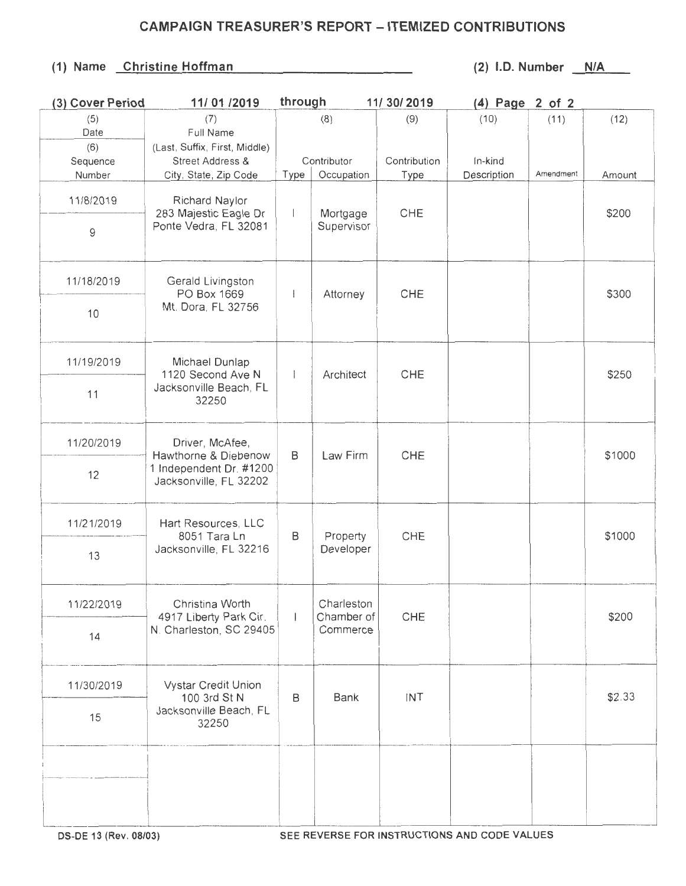## CAMPAIGN TREASURER'S REPORT - ITEMIZED CONTRIBUTIONS

## (1) Name Christine Hoffman (2) I.D. Number N/A

| (3) Cover Period | 11/01 /2019                                    | through     |            | 11/ 30/ 2019 | (4) Page 2 of 2 |           |        |
|------------------|------------------------------------------------|-------------|------------|--------------|-----------------|-----------|--------|
| (5)              | (7)                                            |             | (8)        | (9)          | (10)            | (11)      | (12)   |
| Date             | Full Name                                      |             |            |              |                 |           |        |
| (6)              | (Last, Suffix, First, Middle)                  |             |            |              |                 |           |        |
| Sequence         | Street Address &                               | Contributor |            | Contribution | In-kind         |           |        |
| Number           | City, State, Zip Code                          | Type        | Occupation | Type         | Description     | Amendment | Amount |
|                  |                                                |             |            |              |                 |           |        |
| 11/8/2019        | Richard Naylor                                 |             |            |              |                 |           |        |
|                  | 283 Majestic Eagle Dr<br>Ponte Vedra, FL 32081 |             | Mortgage   | CHE          |                 |           | \$200  |
| 9                |                                                |             | Supervisor |              |                 |           |        |
|                  |                                                |             |            |              |                 |           |        |
|                  |                                                |             |            |              |                 |           |        |
|                  |                                                |             |            |              |                 |           | \$300  |
| 11/18/2019       | Gerald Livingston                              |             |            |              |                 |           |        |
|                  | PO Box 1669                                    |             | Attorney   | CHE          |                 |           |        |
| 10               | Mt. Dora, FL 32756                             |             |            |              |                 |           |        |
|                  |                                                |             |            |              |                 |           |        |
|                  |                                                |             |            |              |                 |           |        |
|                  |                                                |             |            |              |                 |           |        |
| 11/19/2019       | Michael Dunlap                                 |             |            |              |                 |           | \$250  |
|                  | 1120 Second Ave N<br>Jacksonville Beach, FL    |             | Architect  | CHE          |                 |           |        |
| 11               | 32250                                          |             |            |              |                 |           |        |
|                  |                                                |             |            |              |                 |           |        |
|                  |                                                |             |            |              |                 |           |        |
| 11/20/2019       | Driver, McAfee,<br>Hawthorne & Diebenow        | B           | Law Firm   | CHE          |                 |           |        |
|                  |                                                |             |            |              |                 |           | \$1000 |
|                  | 1 Independent Dr. #1200                        |             |            |              |                 |           |        |
| 12               | Jacksonville, FL 32202                         |             |            |              |                 |           |        |
|                  |                                                |             |            |              |                 |           |        |
|                  |                                                |             |            |              |                 |           |        |
| 11/21/2019       | Hart Resources, LLC<br>8051 Tara Ln            | B           | Property   | CHE          |                 |           |        |
|                  |                                                |             |            |              |                 |           | \$1000 |
|                  | Jacksonville, FL 32216                         |             | Developer  |              |                 |           |        |
| 13               |                                                |             |            |              |                 |           |        |
|                  |                                                |             |            |              |                 |           |        |
|                  |                                                |             |            |              |                 |           |        |
| 11/22/2019       | Christina Worth                                |             | Charleston |              |                 |           |        |
|                  | 4917 Liberty Park Cir.                         |             | Chamber of | CHE          |                 |           | \$200  |
| 14               | N. Charleston, SC 29405                        |             | Commerce   |              |                 |           |        |
|                  |                                                |             |            |              |                 |           |        |
|                  |                                                |             |            |              |                 |           |        |
|                  |                                                |             |            |              |                 |           |        |
| 11/30/2019       | <b>Vystar Credit Union</b>                     |             |            |              |                 |           |        |
|                  | 100 3rd St N                                   | B           | Bank       | INT          |                 |           | \$2.33 |
| 15               | Jacksonville Beach, FL                         |             |            |              |                 |           |        |
|                  | 32250                                          |             |            |              |                 |           |        |
|                  |                                                |             |            |              |                 |           |        |
|                  |                                                |             |            |              |                 |           |        |
|                  |                                                |             |            |              |                 |           |        |
|                  |                                                |             |            |              |                 |           |        |
|                  |                                                |             |            |              |                 |           |        |
|                  |                                                |             |            |              |                 |           |        |
|                  |                                                |             |            |              |                 |           |        |